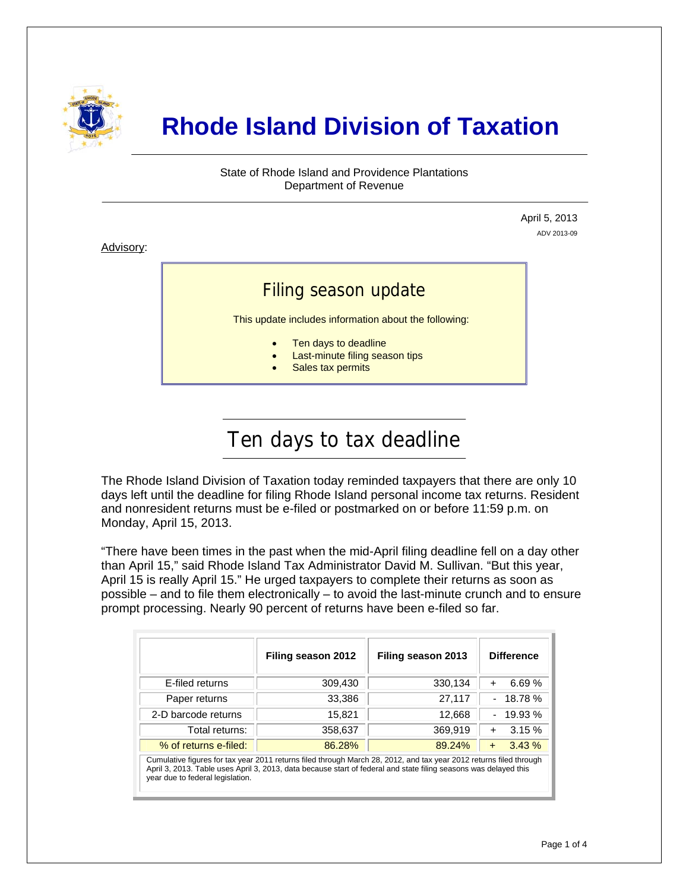

# **Rhode Island Division of Taxation**

State of Rhode Island and Providence Plantations Department of Revenue

> April 5, 2013 ADV 2013-09

Advisory:

j

### Filing season update

This update includes information about the following:

- Ten days to deadline
- Last-minute filing season tips
	- Sales tax permits

# Ten days to tax deadline

The Rhode Island Division of Taxation today reminded taxpayers that there are only 10 days left until the deadline for filing Rhode Island personal income tax returns. Resident and nonresident returns must be e-filed or postmarked on or before 11:59 p.m. on Monday, April 15, 2013.

"There have been times in the past when the mid-April filing deadline fell on a day other than April 15," said Rhode Island Tax Administrator David M. Sullivan. "But this year, April 15 is really April 15." He urged taxpayers to complete their returns as soon as possible – and to file them electronically – to avoid the last-minute crunch and to ensure prompt processing. Nearly 90 percent of returns have been e-filed so far.

|                                                                                                                                                                                                                                                                            | Filing season 2012 | Filing season 2013 | <b>Difference</b>  |  |
|----------------------------------------------------------------------------------------------------------------------------------------------------------------------------------------------------------------------------------------------------------------------------|--------------------|--------------------|--------------------|--|
| E-filed returns                                                                                                                                                                                                                                                            | 309,430            | 330,134            | 6.69%<br>$\ddot{}$ |  |
| Paper returns                                                                                                                                                                                                                                                              | 33,386             | 27,117             | $-18.78%$          |  |
| 2-D barcode returns                                                                                                                                                                                                                                                        | 15,821             | 12,668             | $-19.93%$          |  |
| Total returns:                                                                                                                                                                                                                                                             | 358,637            | 369,919            | 3.15%<br>$\ddot{}$ |  |
| % of returns e-filed:                                                                                                                                                                                                                                                      | 86.28%             | 89.24%             | 3.43%<br>$+$       |  |
| Cumulative figures for tax year 2011 returns filed through March 28, 2012, and tax year 2012 returns filed through<br>April 3, 2013. Table uses April 3, 2013, data because start of federal and state filing seasons was delayed this<br>year due to federal legislation. |                    |                    |                    |  |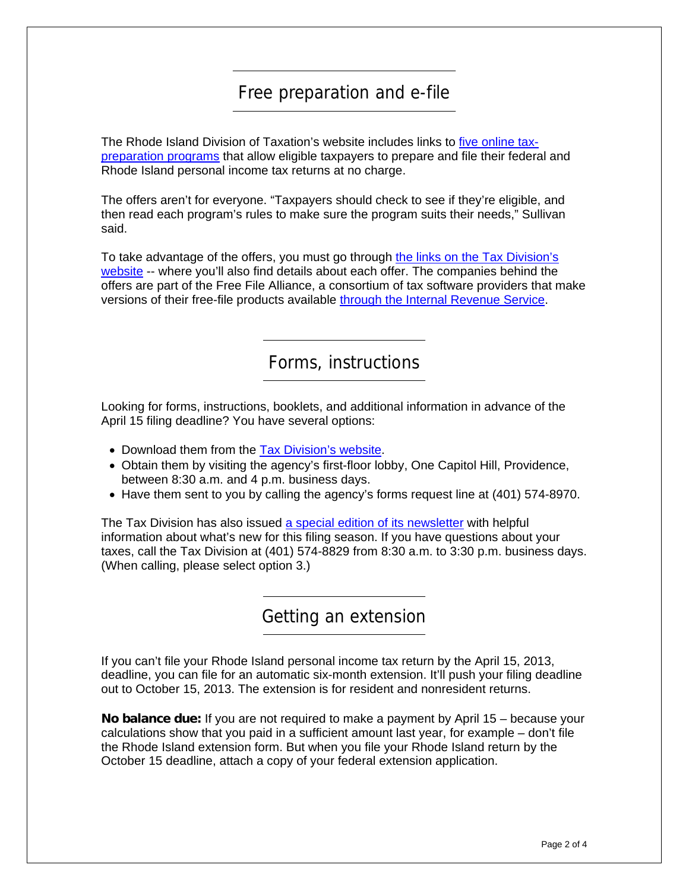# Free preparation and e-file

The Rhode Island Division of Taxation's website includes links to [five online tax](http://www.tax.ri.gov/misc/efile.php)[preparation programs](http://www.tax.ri.gov/misc/efile.php) that allow eligible taxpayers to prepare and file their federal and Rhode Island personal income tax returns at no charge.

The offers aren't for everyone. "Taxpayers should check to see if they're eligible, and then read each program's rules to make sure the program suits their needs," Sullivan said.

To take advantage of the offers, you must go through [the links on the Tax Division's](http://www.tax.ri.gov/misc/efile.php)  [website](http://www.tax.ri.gov/misc/efile.php) -- where you'll also find details about each offer. The companies behind the offers are part of the Free File Alliance, a consortium of tax software providers that make versions of their free-file products available [through the Internal Revenue Service](http://www.irs.gov/uac/Free-File:-Do-Your-Federal-Taxes-for-Free).

Forms, instructions

Looking for forms, instructions, booklets, and additional information in advance of the April 15 filing deadline? You have several options:

- Download them from the [Tax Division's website](http://www.tax.ri.gov/taxforms/personal.php).
- Obtain them by visiting the agency's first-floor lobby, One Capitol Hill, Providence, between 8:30 a.m. and 4 p.m. business days.
- Have them sent to you by calling the agency's forms request line at (401) 574-8970.

The Tax Division has also issued [a special edition of its newsletter](http://www.tax.ri.gov/newsletter/Rhode%20Island%20Division%20of%20Taxation%20Newsletter%20--%20Special%20Edition%20--%20Filing%20Season%202013.pdf) with helpful information about what's new for this filing season. If you have questions about your taxes, call the Tax Division at (401) 574-8829 from 8:30 a.m. to 3:30 p.m. business days. (When calling, please select option 3.)

#### Getting an extension

If you can't file your Rhode Island personal income tax return by the April 15, 2013, deadline, you can file for an automatic six-month extension. It'll push your filing deadline out to October 15, 2013. The extension is for resident and nonresident returns.

**No balance due:** If you are not required to make a payment by April 15 – because your calculations show that you paid in a sufficient amount last year, for example – don't file the Rhode Island extension form. But when you file your Rhode Island return by the October 15 deadline, attach a copy of your federal extension application.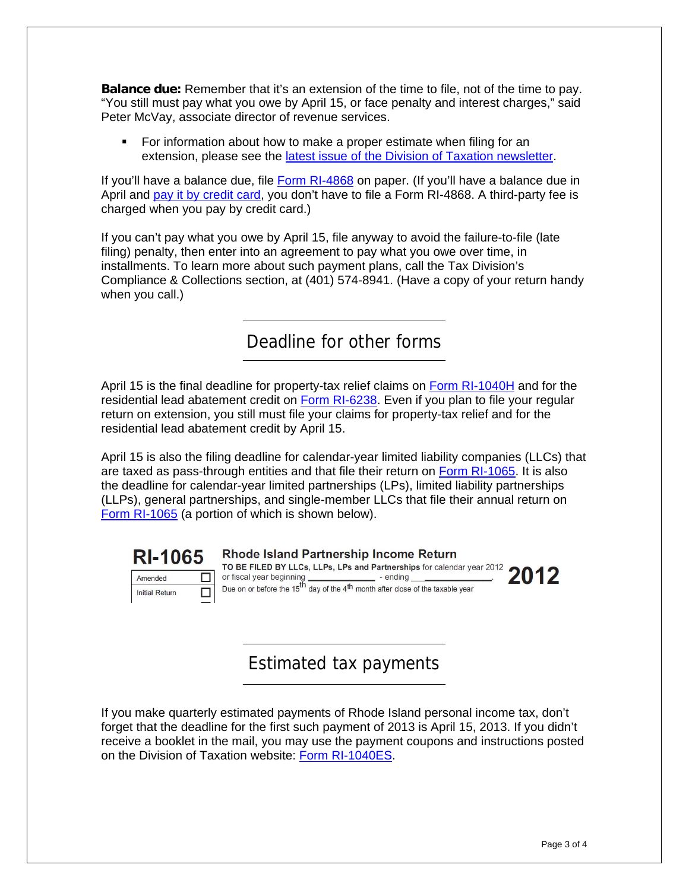**Balance due:** Remember that it's an extension of the time to file, not of the time to pay. "You still must pay what you owe by April 15, or face penalty and interest charges," said Peter McVay, associate director of revenue services.

 For information about how to make a proper estimate when filing for an extension, please see the [latest issue of the Division of Taxation newsletter.](http://www.tax.ri.gov/newsletter/Rhode%20Island%20Division%20of%20Taxation%20newsletter%20-%202nd%20Q%202013.pdf)

If you'll have a balance due, file [Form RI-4868](http://www.tax.ri.gov/forms/2012/Income/2012%20RI-4868.pdf) on paper. (If you'll have a balance due in April and [pay it by credit card,](http://www.tax.ri.gov/misc/creditcard.php) you don't have to file a Form RI-4868. A third-party fee is charged when you pay by credit card.)

If you can't pay what you owe by April 15, file anyway to avoid the failure-to-file (late filing) penalty, then enter into an agreement to pay what you owe over time, in installments. To learn more about such payment plans, call the Tax Division's Compliance & Collections section, at (401) 574-8941. (Have a copy of your return handy when you call.)

Deadline for other forms

April 15 is the final deadline for property-tax relief claims on [Form RI-1040H](http://www.tax.ri.gov/forms/2012/Income/2012%201040H.pdf) and for the residential lead abatement credit on [Form RI-6238](http://www.tax.ri.gov/forms/2012/Credits/2012%20Lead%20Paint%20Credit.pdf). Even if you plan to file your regular return on extension, you still must file your claims for property-tax relief and for the residential lead abatement credit by April 15.

April 15 is also the filing deadline for calendar-year limited liability companies (LLCs) that are taxed as pass-through entities and that file their return on [Form RI-1065](http://www.tax.ri.gov/forms/2012/Corp/2012%20RI-1065.pdf). It is also the deadline for calendar-year limited partnerships (LPs), limited liability partnerships (LLPs), general partnerships, and single-member LLCs that file their annual return on [Form RI-1065](http://www.tax.ri.gov/forms/2012/Corp/2012%20RI-1065.pdf) (a portion of which is shown below).



**Rhode Island Partnership Income Return** TO BE FILED BY LLCs, LLPs, LPs and Partnerships for calendar year 2012 2012 or fiscal year beginning  $-$  - ending Due on or before the 15<sup>th</sup> day of the 4<sup>th</sup> month after close of the taxable year

#### Estimated tax payments

If you make quarterly estimated payments of Rhode Island personal income tax, don't forget that the deadline for the first such payment of 2013 is April 15, 2013. If you didn't receive a booklet in the mail, you may use the payment coupons and instructions posted on the Division of Taxation website: [Form RI-1040ES.](http://www.tax.ri.gov/forms/2013/Income/2013%20RI-1040ES%20-%20web%20version.pdf)